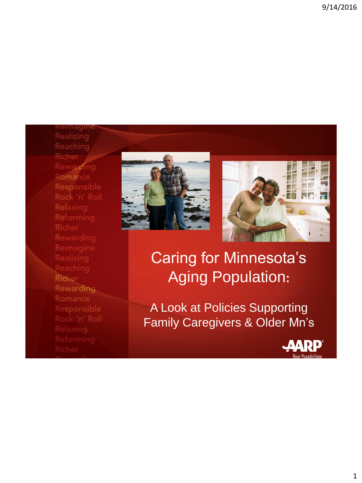Richer Rewarding Romance Responsible Rock 'n' Roll Reaching Richer Rewarding Romance





## Caring for Minnesota's Aging Population**:**

A Look at Policies Supporting Family Caregivers & Older Mn's

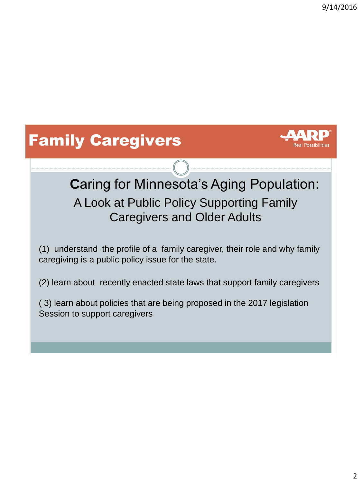# Family Caregivers



## **C**aring for Minnesota's Aging Population: A Look at Public Policy Supporting Family Caregivers and Older Adults

(1) understand the profile of a family caregiver, their role and why family caregiving is a public policy issue for the state.

(2) learn about recently enacted state laws that support family caregivers

( 3) learn about policies that are being proposed in the 2017 legislation Session to support caregivers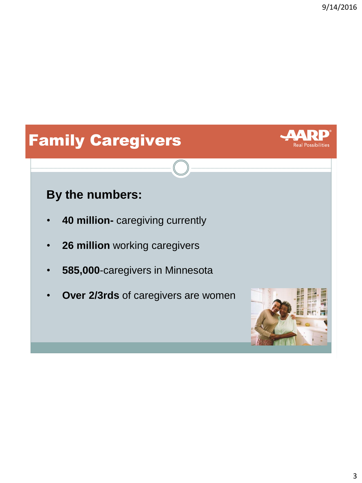Real Possibilities

# Family Caregivers

#### **By the numbers:**

- **40 million-** caregiving currently
- **26 million** working caregivers
- **585,000**-caregivers in Minnesota
- **Over 2/3rds** of caregivers are women

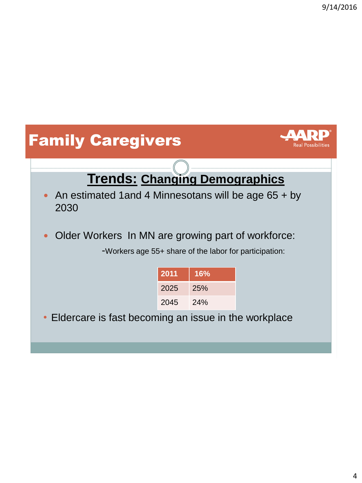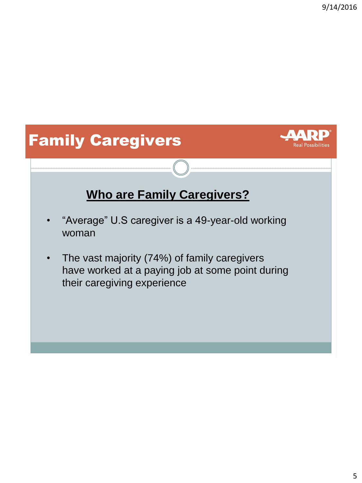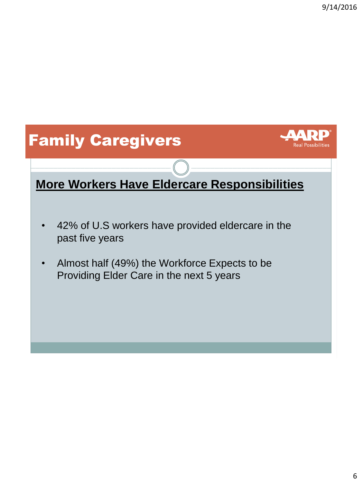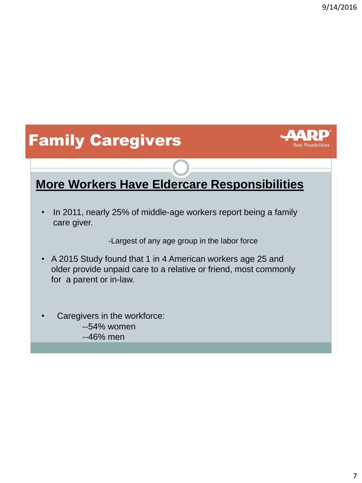# Family Caregivers



#### **More Workers Have Eldercare Responsibilities**

• In 2011, nearly 25% of middle-age workers report being a family care giver.

-Largest of any age group in the labor force

- A 2015 Study found that 1 in 4 American workers age 25 and older provide unpaid care to a relative or friend, most commonly for a parent or in-law.
- Caregivers in the workforce: --54% women --46% men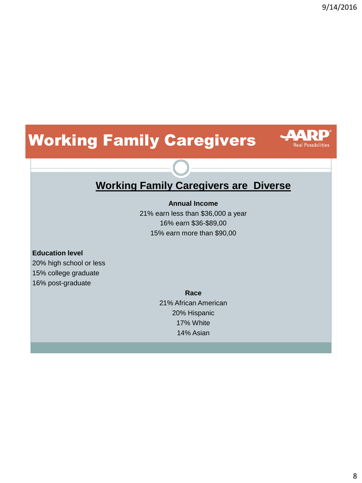**Real Possibilities** 

# Working Family Caregivers



#### **Annual Income**

21% earn less than \$36,000 a year 16% earn \$36-\$89,00 15% earn more than \$90,00

#### **Education level**

20% high school or less 15% college graduate 16% post-graduate

> **Race** 21% African American 20% Hispanic 17% White 14% Asian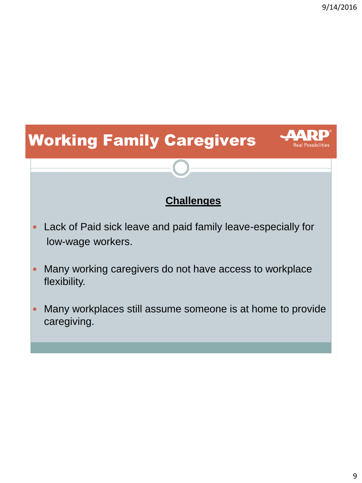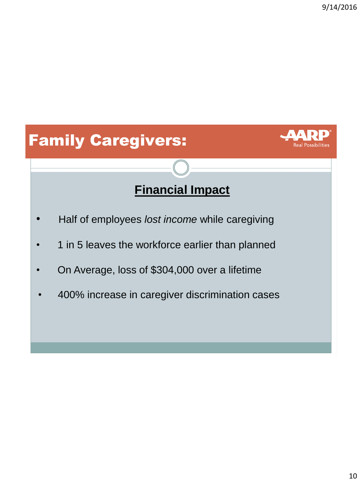# Family Caregivers:



## **Financial Impact**

- Half of employees *lost income* while caregiving
- 1 in 5 leaves the workforce earlier than planned
- On Average, loss of \$304,000 over a lifetime
- 400% increase in caregiver discrimination cases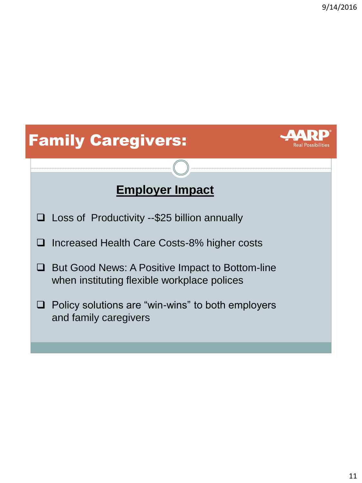# Family Caregivers: **Employer Impact**   $\square$  Loss of Productivity --\$25 billion annually □ Increased Health Care Costs-8% higher costs **□** But Good News: A Positive Impact to Bottom-line when instituting flexible workplace polices

 $\Box$  Policy solutions are "win-wins" to both employers and family caregivers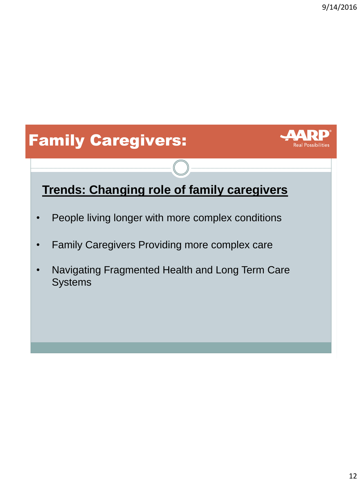# Family Caregivers:



#### **Trends: Changing role of family caregivers**

- People living longer with more complex conditions
- Family Caregivers Providing more complex care
- Navigating Fragmented Health and Long Term Care **Systems**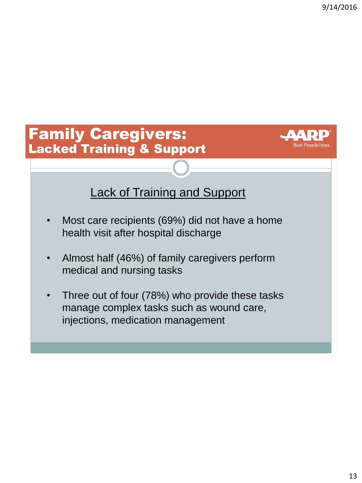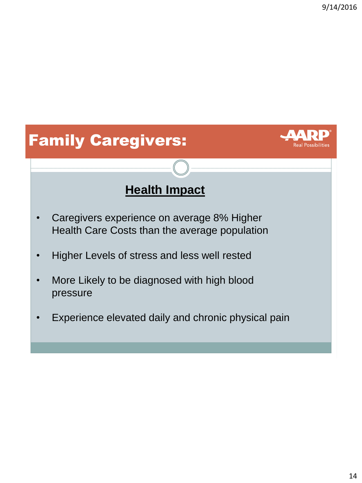



#### **Health Impact**

- Caregivers experience on average 8% Higher Health Care Costs than the average population
- Higher Levels of stress and less well rested
- More Likely to be diagnosed with high blood pressure
- Experience elevated daily and chronic physical pain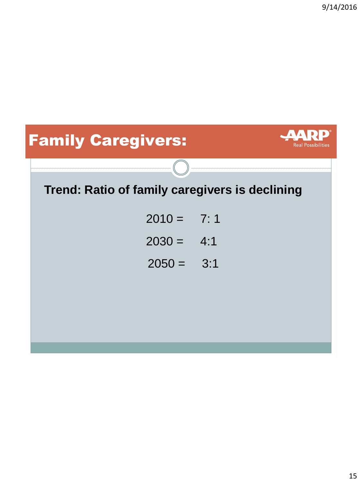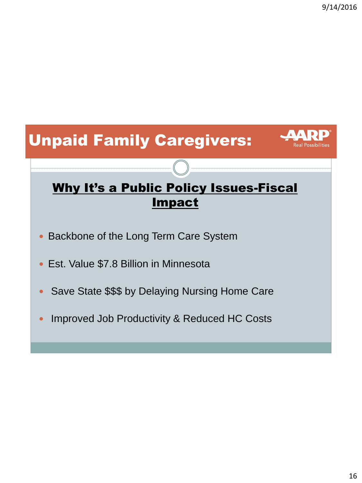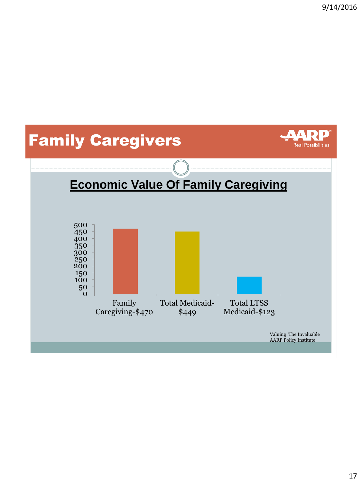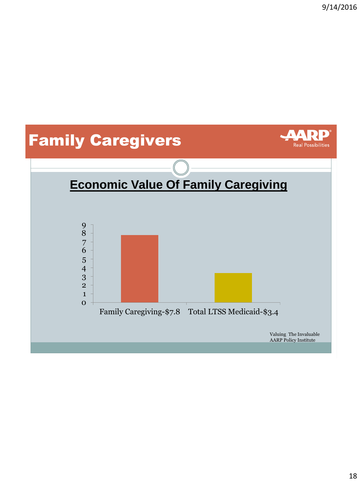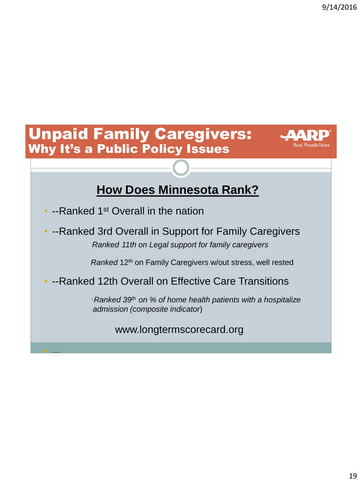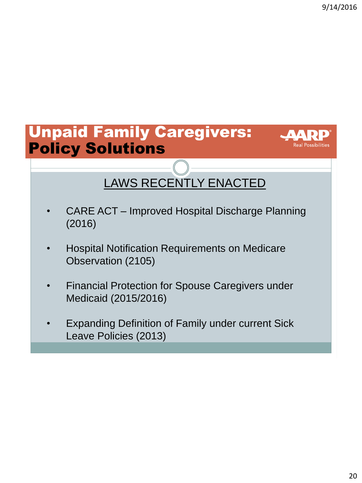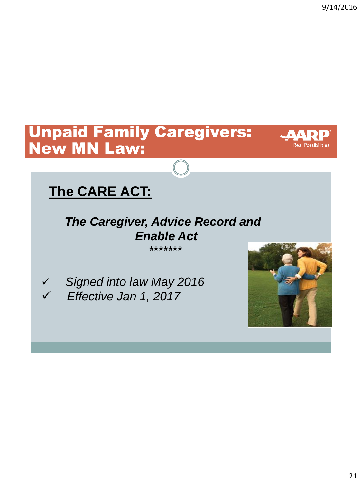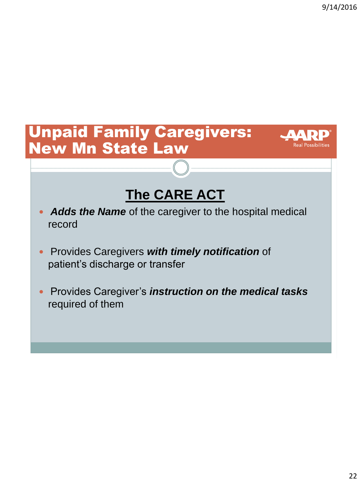## Unpaid Family Caregivers: New Mn State Law



# **The CARE ACT**

- *Adds the Name* of the caregiver to the hospital medical record
- Provides Caregivers *with timely notification* of patient's discharge or transfer
- **Provides Caregiver's** *instruction* **on the medical tasks** required of them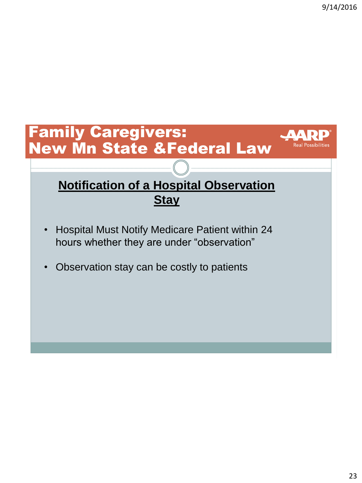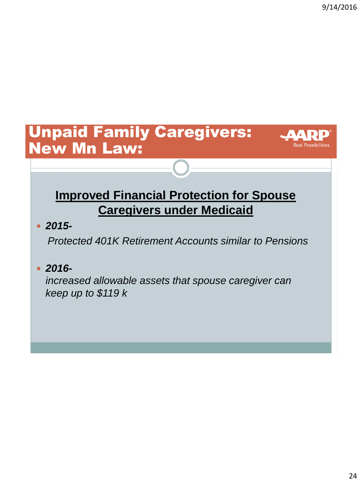$\boldsymbol{\Lambda}$   $\boldsymbol{\Lambda}$ 

**Real Possibilities** 

#### Unpaid Family Caregivers: New Mn Law:

#### **Improved Financial Protection for Spouse Caregivers under Medicaid**

*2015-*

*Protected 401K Retirement Accounts similar to Pensions*

*2016-*

*increased allowable assets that spouse caregiver can keep up to \$119 k*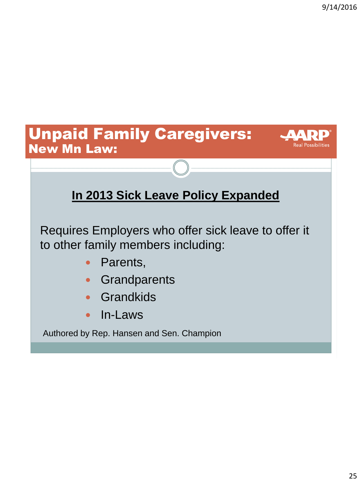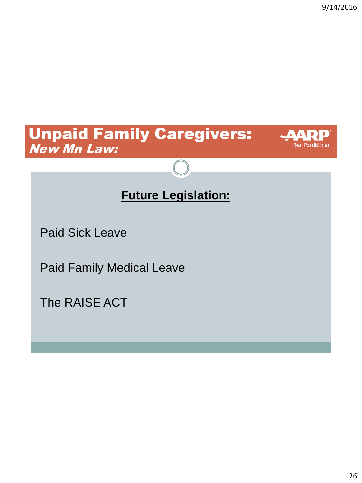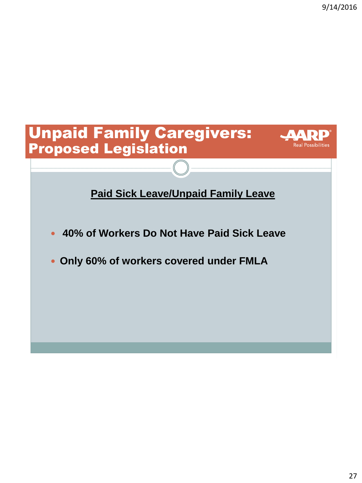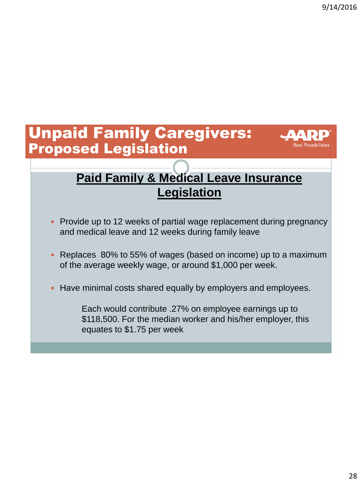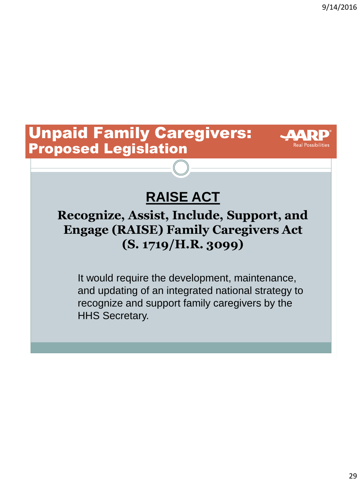#### Unpaid Family Caregivers: Proposed Legislation



# **RAISE ACT**

#### **Recognize, Assist, Include, Support, and Engage (RAISE) Family Caregivers Act (S. 1719/H.R. 3099)**

It would require the development, maintenance, and updating of an integrated national strategy to recognize and support family caregivers by the HHS Secretary.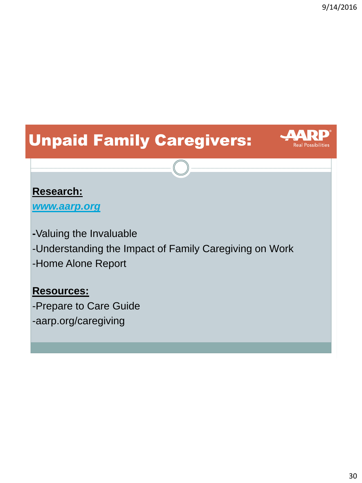**Real Possibilities** 

# Unpaid Family Caregivers:

#### **Research:**

*[www.aarp.org](http://www.aarp.org/)*

**-**Valuing the Invaluable -Understanding the Impact of Family Caregiving on Work -Home Alone Report

#### **Resources:**

-Prepare to Care Guide -aarp.org/caregiving